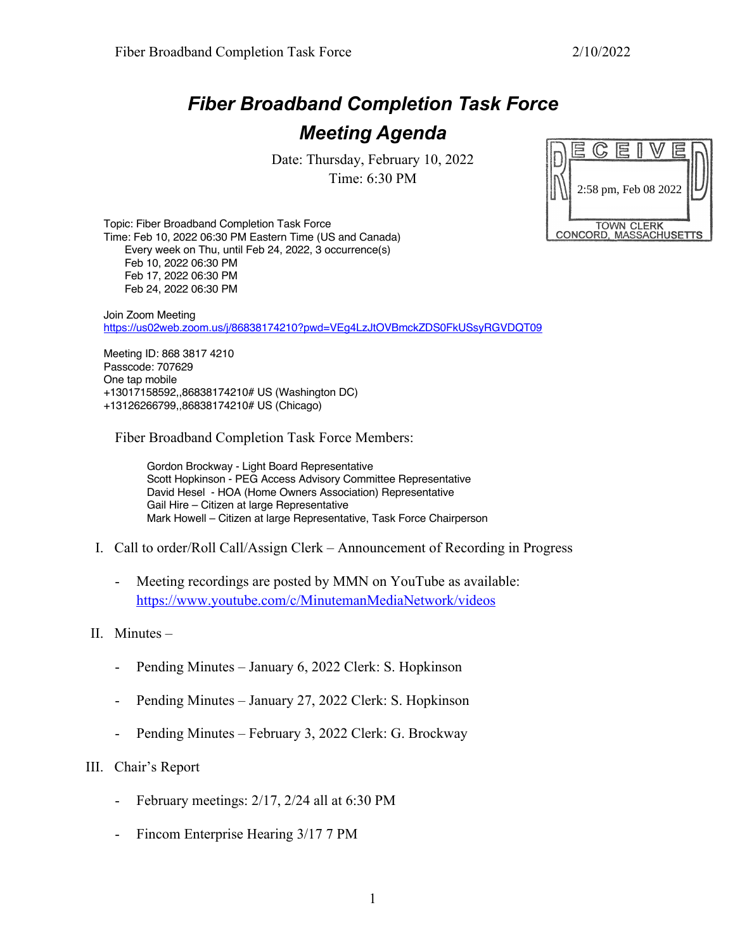## *Fiber Broadband Completion Task Force Meeting Agenda*

Date: Thursday, February 10, 2022 Time: 6:30 PM

|                                             |  |                      | 5 |  |  |  |  |
|---------------------------------------------|--|----------------------|---|--|--|--|--|
|                                             |  | 2:58 pm, Feb 08 2022 |   |  |  |  |  |
| <b>TOWN CLERK</b><br>CONCORD, MASSACHUSETTS |  |                      |   |  |  |  |  |

Topic: Fiber Broadband Completion Task Force Time: Feb 10, 2022 06:30 PM Eastern Time (US and Canada) Every week on Thu, until Feb 24, 2022, 3 occurrence(s) Feb 10, 2022 06:30 PM Feb 17, 2022 06:30 PM Feb 24, 2022 06:30 PM

Join Zoom Meeting https://us02web.zoom.us/j/86838174210?pwd=VEg4LzJtOVBmckZDS0FkUSsyRGVDQT09

Meeting ID: 868 3817 4210 Passcode: 707629 One tap mobile +13017158592,,86838174210# US (Washington DC) +13126266799,,86838174210# US (Chicago)

Fiber Broadband Completion Task Force Members:

Gordon Brockway - Light Board Representative Scott Hopkinson - PEG Access Advisory Committee Representative David Hesel - HOA (Home Owners Association) Representative Gail Hire – Citizen at large Representative Mark Howell – Citizen at large Representative, Task Force Chairperson

- I. Call to order/Roll Call/Assign Clerk Announcement of Recording in Progress
	- Meeting recordings are posted by MMN on YouTube as available: https://www.youtube.com/c/MinutemanMediaNetwork/videos
- II. Minutes
	- Pending Minutes January 6, 2022 Clerk: S. Hopkinson
	- Pending Minutes January 27, 2022 Clerk: S. Hopkinson
	- Pending Minutes February 3, 2022 Clerk: G. Brockway
- III. Chair's Report
	- February meetings: 2/17, 2/24 all at 6:30 PM
	- Fincom Enterprise Hearing 3/17 7 PM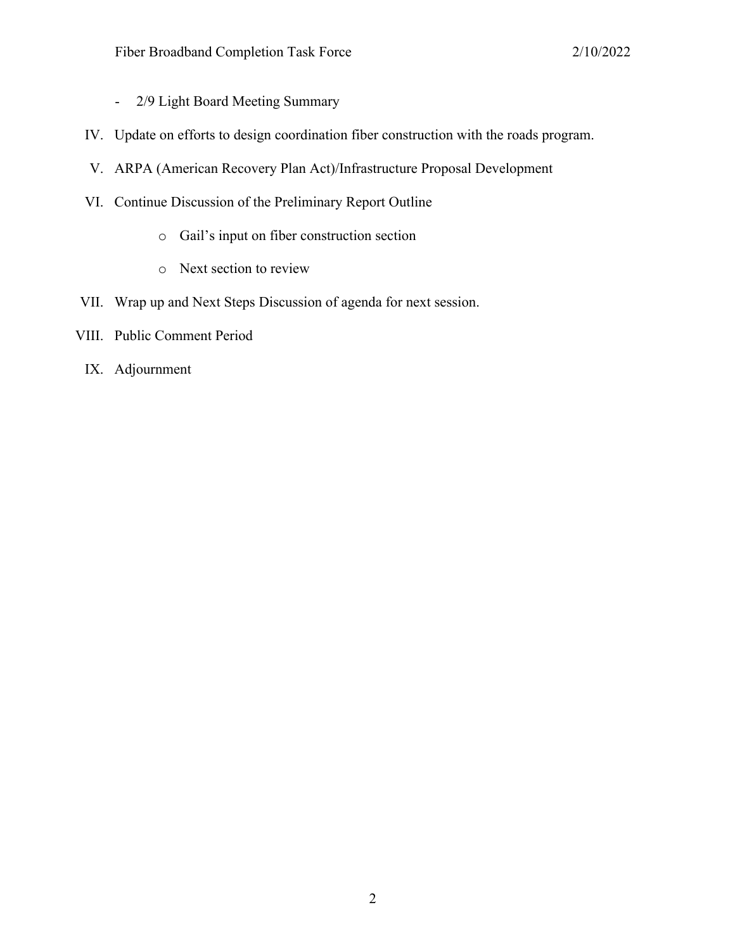- 2/9 Light Board Meeting Summary
- IV. Update on efforts to design coordination fiber construction with the roads program.
- V. ARPA (American Recovery Plan Act)/Infrastructure Proposal Development
- VI. Continue Discussion of the Preliminary Report Outline
	- o Gail's input on fiber construction section
	- o Next section to review
- VII. Wrap up and Next Steps Discussion of agenda for next session.
- VIII. Public Comment Period
- IX. Adjournment